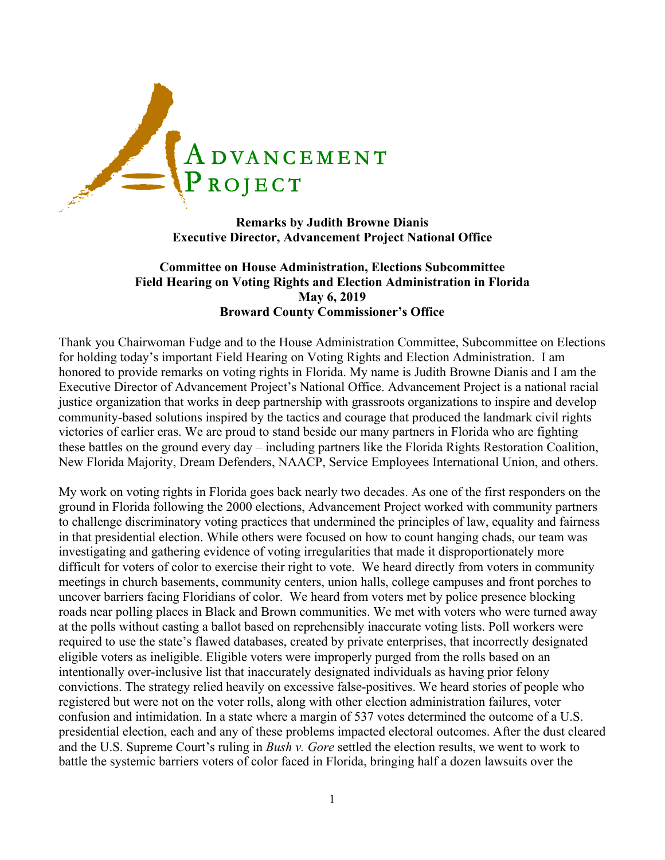

**Remarks by Judith Browne Dianis Executive Director, Advancement Project National Office**

## **Committee on House Administration, Elections Subcommittee Field Hearing on Voting Rights and Election Administration in Florida May 6, 2019 Broward County Commissioner's Office**

Thank you Chairwoman Fudge and to the House Administration Committee, Subcommittee on Elections for holding today's important Field Hearing on Voting Rights and Election Administration. I am honored to provide remarks on voting rights in Florida. My name is Judith Browne Dianis and I am the Executive Director of Advancement Project's National Office. Advancement Project is a national racial justice organization that works in deep partnership with grassroots organizations to inspire and develop community-based solutions inspired by the tactics and courage that produced the landmark civil rights victories of earlier eras. We are proud to stand beside our many partners in Florida who are fighting these battles on the ground every day – including partners like the Florida Rights Restoration Coalition, New Florida Majority, Dream Defenders, NAACP, Service Employees International Union, and others.

My work on voting rights in Florida goes back nearly two decades. As one of the first responders on the ground in Florida following the 2000 elections, Advancement Project worked with community partners to challenge discriminatory voting practices that undermined the principles of law, equality and fairness in that presidential election. While others were focused on how to count hanging chads, our team was investigating and gathering evidence of voting irregularities that made it disproportionately more difficult for voters of color to exercise their right to vote. We heard directly from voters in community meetings in church basements, community centers, union halls, college campuses and front porches to uncover barriers facing Floridians of color. We heard from voters met by police presence blocking roads near polling places in Black and Brown communities. We met with voters who were turned away at the polls without casting a ballot based on reprehensibly inaccurate voting lists. Poll workers were required to use the state's flawed databases, created by private enterprises, that incorrectly designated eligible voters as ineligible. Eligible voters were improperly purged from the rolls based on an intentionally over-inclusive list that inaccurately designated individuals as having prior felony convictions. The strategy relied heavily on excessive false-positives. We heard stories of people who registered but were not on the voter rolls, along with other election administration failures, voter confusion and intimidation. In a state where a margin of 537 votes determined the outcome of a U.S. presidential election, each and any of these problems impacted electoral outcomes. After the dust cleared and the U.S. Supreme Court's ruling in *Bush v. Gore* settled the election results, we went to work to battle the systemic barriers voters of color faced in Florida, bringing half a dozen lawsuits over the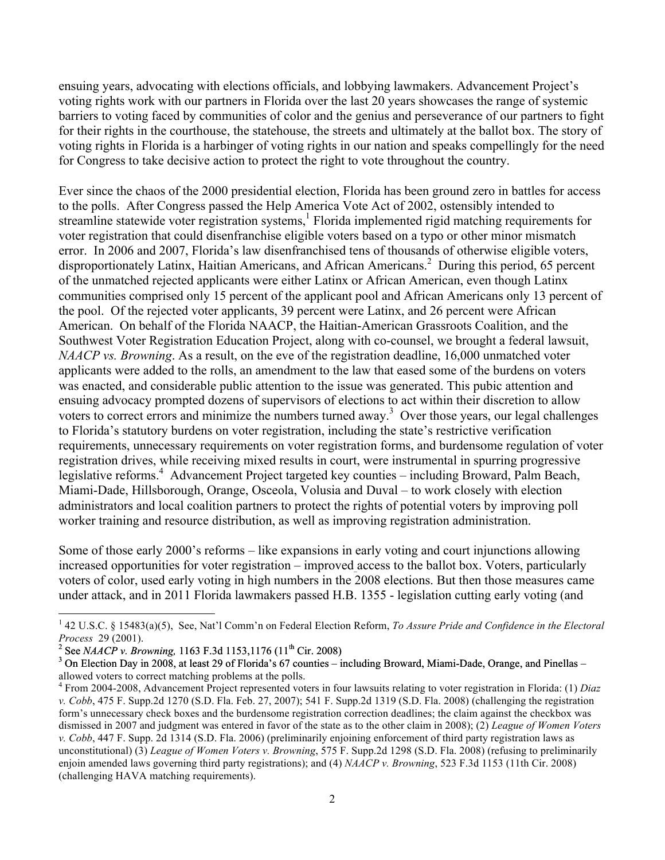ensuing years, advocating with elections officials, and lobbying lawmakers. Advancement Project's voting rights work with our partners in Florida over the last 20 years showcases the range of systemic barriers to voting faced by communities of color and the genius and perseverance of our partners to fight for their rights in the courthouse, the statehouse, the streets and ultimately at the ballot box. The story of voting rights in Florida is a harbinger of voting rights in our nation and speaks compellingly for the need for Congress to take decisive action to protect the right to vote throughout the country.

Ever since the chaos of the 2000 presidential election, Florida has been ground zero in battles for access to the polls. After Congress passed the Help America Vote Act of 2002, ostensibly intended to streamline statewide voter registration systems,<sup>1</sup> Florida implemented rigid matching requirements for voter registration that could disenfranchise eligible voters based on a typo or other minor mismatch error. In 2006 and 2007, Florida's law disenfranchised tens of thousands of otherwise eligible voters, disproportionately Latinx, Haitian Americans, and African Americans. <sup>2</sup> During this period, 65 percent of the unmatched rejected applicants were either Latinx or African American, even though Latinx communities comprised only 15 percent of the applicant pool and African Americans only 13 percent of the pool. Of the rejected voter applicants, 39 percent were Latinx, and 26 percent were African American. On behalf of the Florida NAACP, the Haitian-American Grassroots Coalition, and the Southwest Voter Registration Education Project, along with co-counsel, we brought a federal lawsuit, *NAACP vs. Browning*. As a result, on the eve of the registration deadline, 16,000 unmatched voter applicants were added to the rolls, an amendment to the law that eased some of the burdens on voters was enacted, and considerable public attention to the issue was generated. This pubic attention and ensuing advocacy prompted dozens of supervisors of elections to act within their discretion to allow voters to correct errors and minimize the numbers turned away.<sup>3</sup> Over those years, our legal challenges to Florida's statutory burdens on voter registration, including the state's restrictive verification requirements, unnecessary requirements on voter registration forms, and burdensome regulation of voter registration drives, while receiving mixed results in court, were instrumental in spurring progressive legislative reforms.<sup>4</sup> Advancement Project targeted key counties – including Broward, Palm Beach, Miami-Dade, Hillsborough, Orange, Osceola, Volusia and Duval – to work closely with election administrators and local coalition partners to protect the rights of potential voters by improving poll worker training and resource distribution, as well as improving registration administration.

Some of those early 2000's reforms – like expansions in early voting and court injunctions allowing increased opportunities for voter registration – improved access to the ballot box. Voters, particularly voters of color, used early voting in high numbers in the 2008 elections. But then those measures came under attack, and in 2011 Florida lawmakers passed H.B. 1355 - legislation cutting early voting (and

<u> 1989 - Jan Stein Stein, fransk politiker (d. 1989)</u>

<sup>1</sup> 42 U.S.C. § 15483(a)(5), See, Nat'l Comm'n on Federal Election Reform, *To Assure Pride and Confidence in the Electoral Process 29 (2001).*<br><sup>2</sup> See *NAACP v. Browning, 1163 F.3d 1153,1176 (11<sup>th</sup> Cir. 2008)*<br><sup>3</sup> On Election Day in 2008, at least 29 of Florida's 67 counties – including Broward, Miami-Dade, Orange, and Pinellas –

allowed voters to correct matching problems at the polls.

<sup>4</sup> From 2004-2008, Advancement Project represented voters in four lawsuits relating to voter registration in Florida: (1) *Diaz v. Cobb*, 475 F. Supp.2d 1270 (S.D. Fla. Feb. 27, 2007); 541 F. Supp.2d 1319 (S.D. Fla. 2008) (challenging the registration form's unnecessary check boxes and the burdensome registration correction deadlines; the claim against the checkbox was dismissed in 2007 and judgment was entered in favor of the state as to the other claim in 2008); (2) *League of Women Voters v. Cobb*, 447 F. Supp. 2d 1314 (S.D. Fla. 2006) (preliminarily enjoining enforcement of third party registration laws as unconstitutional) (3) *League of Women Voters v. Browning*, 575 F. Supp.2d 1298 (S.D. Fla. 2008) (refusing to preliminarily enjoin amended laws governing third party registrations); and (4) *NAACP v. Browning*, 523 F.3d 1153 (11th Cir. 2008) (challenging HAVA matching requirements).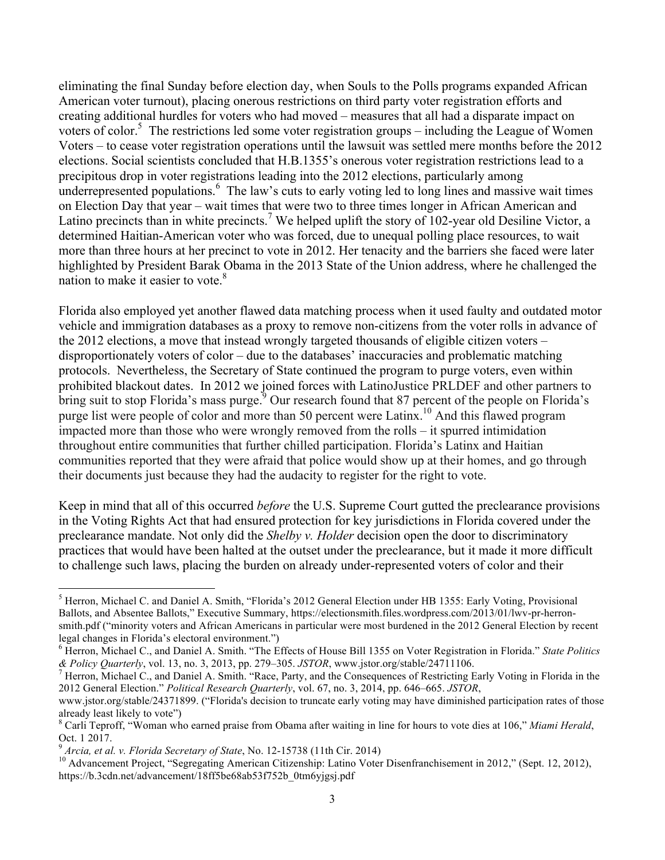eliminating the final Sunday before election day, when Souls to the Polls programs expanded African American voter turnout), placing onerous restrictions on third party voter registration efforts and creating additional hurdles for voters who had moved – measures that all had a disparate impact on voters of color.<sup>5</sup> The restrictions led some voter registration groups – including the League of Women Voters – to cease voter registration operations until the lawsuit was settled mere months before the 2012 elections. Social scientists concluded that H.B.1355's onerous voter registration restrictions lead to a precipitous drop in voter registrations leading into the 2012 elections, particularly among underrepresented populations.<sup>6</sup> The law's cuts to early voting led to long lines and massive wait times on Election Day that year – wait times that were two to three times longer in African American and Latino precincts than in white precincts.<sup>7</sup> We helped uplift the story of 102-year old Desiline Victor, a determined Haitian-American voter who was forced, due to unequal polling place resources, to wait more than three hours at her precinct to vote in 2012. Her tenacity and the barriers she faced were later highlighted by President Barak Obama in the 2013 State of the Union address, where he challenged the nation to make it easier to vote.<sup>8</sup>

Florida also employed yet another flawed data matching process when it used faulty and outdated motor vehicle and immigration databases as a proxy to remove non-citizens from the voter rolls in advance of the 2012 elections, a move that instead wrongly targeted thousands of eligible citizen voters – disproportionately voters of color – due to the databases' inaccuracies and problematic matching protocols. Nevertheless, the Secretary of State continued the program to purge voters, even within prohibited blackout dates. In 2012 we joined forces with LatinoJustice PRLDEF and other partners to bring suit to stop Florida's mass purge.<sup>9</sup> Our research found that 87 percent of the people on Florida's purge list were people of color and more than 50 percent were Latinx.<sup>10</sup> And this flawed program impacted more than those who were wrongly removed from the rolls – it spurred intimidation throughout entire communities that further chilled participation. Florida's Latinx and Haitian communities reported that they were afraid that police would show up at their homes, and go through their documents just because they had the audacity to register for the right to vote.

Keep in mind that all of this occurred *before* the U.S. Supreme Court gutted the preclearance provisions in the Voting Rights Act that had ensured protection for key jurisdictions in Florida covered under the preclearance mandate. Not only did the *Shelby v. Holder* decision open the door to discriminatory practices that would have been halted at the outset under the preclearance, but it made it more difficult to challenge such laws, placing the burden on already under-represented voters of color and their

 

<sup>5</sup> Herron, Michael C. and Daniel A. Smith, "Florida's 2012 General Election under HB 1355: Early Voting, Provisional Ballots, and Absentee Ballots," Executive Summary, https://electionsmith.files.wordpress.com/2013/01/lwv-pr-herronsmith.pdf ("minority voters and African Americans in particular were most burdened in the 2012 General Election by recent legal changes in Florida's electoral environment.")

<sup>&</sup>lt;sup>6</sup> Herron, Michael C., and Daniel A. Smith. "The Effects of House Bill 1355 on Voter Registration in Florida." *State Politics* & *Politics C. Quarterly*, vol. 13, no. 3, 2013, pp. 279–305. *JSTOR*, www.jstor.org/stable

<sup>&</sup>lt;sup>7</sup> Herron, Michael C., and Daniel A. Smith. "Race, Party, and the Consequences of Restricting Early Voting in Florida in the 2012 General Election." *Political Research Quarterly*, vol. 67, no. 3, 2014, pp. 646–665. *JSTOR*,

www.jstor.org/stable/24371899. ("Florida's decision to truncate early voting may have diminished participation rates of those already least likely to vote")

<sup>8</sup> Carli Teproff, "Woman who earned praise from Obama after waiting in line for hours to vote dies at 106," *Miami Herald*, Oct. 1 2017.<br><sup>9</sup> Arcia, et al. v. Florida Secretary of State, No. 12-15738 (11th Cir. 2014)

<sup>&</sup>lt;sup>10</sup> Advancement Project, "Segregating American Citizenship: Latino Voter Disenfranchisement in 2012," (Sept. 12, 2012), https://b.3cdn.net/advancement/18ff5be68ab53f752b\_0tm6yjgsj.pdf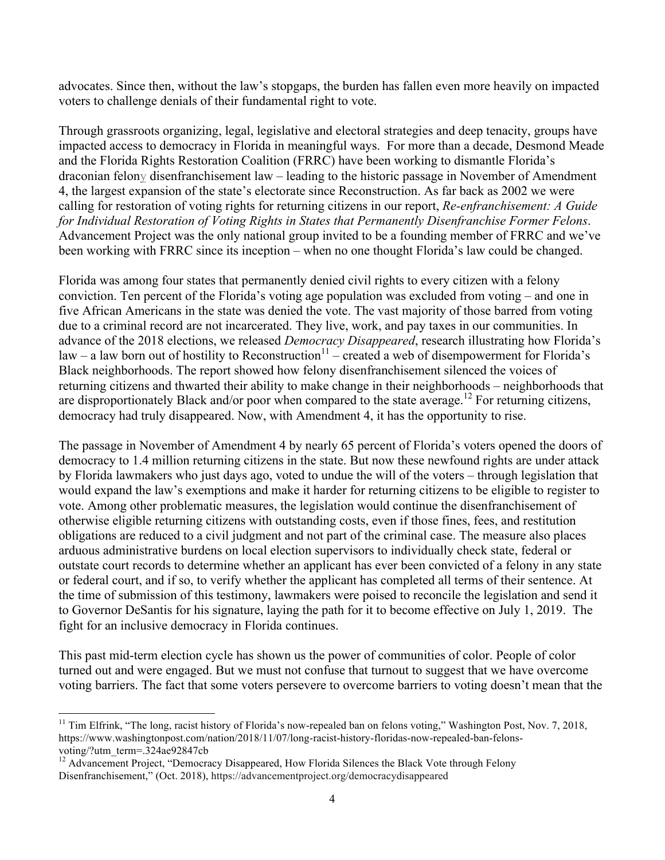advocates. Since then, without the law's stopgaps, the burden has fallen even more heavily on impacted voters to challenge denials of their fundamental right to vote.

Through grassroots organizing, legal, legislative and electoral strategies and deep tenacity, groups have impacted access to democracy in Florida in meaningful ways. For more than a decade, Desmond Meade and the Florida Rights Restoration Coalition (FRRC) have been working to dismantle Florida's draconian felony disenfranchisement law – leading to the historic passage in November of Amendment 4, the largest expansion of the state's electorate since Reconstruction. As far back as 2002 we were calling for restoration of voting rights for returning citizens in our report, *Re-enfranchisement: A Guide for Individual Restoration of Voting Rights in States that Permanently Disenfranchise Former Felons*. Advancement Project was the only national group invited to be a founding member of FRRC and we've been working with FRRC since its inception – when no one thought Florida's law could be changed.

Florida was among four states that permanently denied civil rights to every citizen with a felony conviction. Ten percent of the Florida's voting age population was excluded from voting – and one in five African Americans in the state was denied the vote. The vast majority of those barred from voting due to a criminal record are not incarcerated. They live, work, and pay taxes in our communities. In advance of the 2018 elections, we released *Democracy Disappeared*, research illustrating how Florida's law – a law born out of hostility to Reconstruction<sup>11</sup> – created a web of disempowerment for Florida's Black neighborhoods. The report showed how felony disenfranchisement silenced the voices of returning citizens and thwarted their ability to make change in their neighborhoods – neighborhoods that are disproportionately Black and/or poor when compared to the state average.<sup>12</sup> For returning citizens, democracy had truly disappeared. Now, with Amendment 4, it has the opportunity to rise.

The passage in November of Amendment 4 by nearly 65 percent of Florida's voters opened the doors of democracy to 1.4 million returning citizens in the state. But now these newfound rights are under attack by Florida lawmakers who just days ago, voted to undue the will of the voters – through legislation that would expand the law's exemptions and make it harder for returning citizens to be eligible to register to vote. Among other problematic measures, the legislation would continue the disenfranchisement of otherwise eligible returning citizens with outstanding costs, even if those fines, fees, and restitution obligations are reduced to a civil judgment and not part of the criminal case. The measure also places arduous administrative burdens on local election supervisors to individually check state, federal or outstate court records to determine whether an applicant has ever been convicted of a felony in any state or federal court, and if so, to verify whether the applicant has completed all terms of their sentence. At the time of submission of this testimony, lawmakers were poised to reconcile the legislation and send it to Governor DeSantis for his signature, laying the path for it to become effective on July 1, 2019. The fight for an inclusive democracy in Florida continues.

This past mid-term election cycle has shown us the power of communities of color. People of color turned out and were engaged. But we must not confuse that turnout to suggest that we have overcome voting barriers. The fact that some voters persevere to overcome barriers to voting doesn't mean that the

<u> 1989 - Jan Stein Stein, fransk politiker (d. 1989)</u>

<sup>&</sup>lt;sup>11</sup> Tim Elfrink, "The long, racist history of Florida's now-repealed ban on felons voting," Washington Post, Nov. 7, 2018, https://www.washingtonpost.com/nation/2018/11/07/long-racist-history-floridas-now-repealed-ban-felonsvoting/?utm\_term=.324ae92847cb

<sup>&</sup>lt;sup>12</sup> Advancement Project, "Democracy Disappeared, How Florida Silences the Black Vote through Felony Disenfranchisement," (Oct. 2018), https://advancementproject.org/democracydisappeared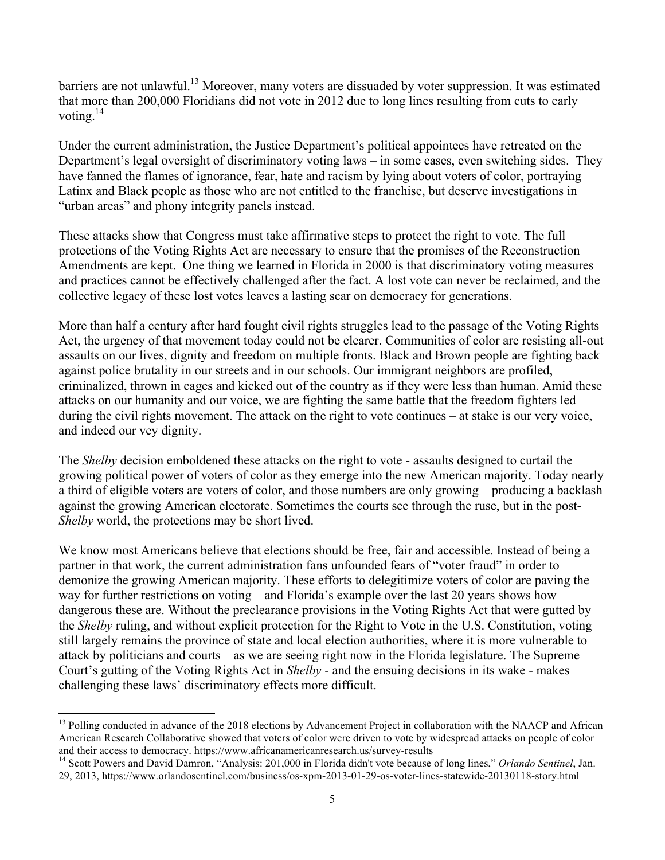barriers are not unlawful.<sup>13</sup> Moreover, many voters are dissuaded by voter suppression. It was estimated that more than 200,000 Floridians did not vote in 2012 due to long lines resulting from cuts to early voting. $^{14}$ 

Under the current administration, the Justice Department's political appointees have retreated on the Department's legal oversight of discriminatory voting laws – in some cases, even switching sides. They have fanned the flames of ignorance, fear, hate and racism by lying about voters of color, portraying Latinx and Black people as those who are not entitled to the franchise, but deserve investigations in "urban areas" and phony integrity panels instead.

These attacks show that Congress must take affirmative steps to protect the right to vote. The full protections of the Voting Rights Act are necessary to ensure that the promises of the Reconstruction Amendments are kept. One thing we learned in Florida in 2000 is that discriminatory voting measures and practices cannot be effectively challenged after the fact. A lost vote can never be reclaimed, and the collective legacy of these lost votes leaves a lasting scar on democracy for generations.

More than half a century after hard fought civil rights struggles lead to the passage of the Voting Rights Act, the urgency of that movement today could not be clearer. Communities of color are resisting all-out assaults on our lives, dignity and freedom on multiple fronts. Black and Brown people are fighting back against police brutality in our streets and in our schools. Our immigrant neighbors are profiled, criminalized, thrown in cages and kicked out of the country as if they were less than human. Amid these attacks on our humanity and our voice, we are fighting the same battle that the freedom fighters led during the civil rights movement. The attack on the right to vote continues – at stake is our very voice, and indeed our vey dignity.

The *Shelby* decision emboldened these attacks on the right to vote - assaults designed to curtail the growing political power of voters of color as they emerge into the new American majority. Today nearly a third of eligible voters are voters of color, and those numbers are only growing – producing a backlash against the growing American electorate. Sometimes the courts see through the ruse, but in the post-*Shelby* world, the protections may be short lived.

We know most Americans believe that elections should be free, fair and accessible. Instead of being a partner in that work, the current administration fans unfounded fears of "voter fraud" in order to demonize the growing American majority. These efforts to delegitimize voters of color are paving the way for further restrictions on voting – and Florida's example over the last 20 years shows how dangerous these are. Without the preclearance provisions in the Voting Rights Act that were gutted by the *Shelby* ruling, and without explicit protection for the Right to Vote in the U.S. Constitution, voting still largely remains the province of state and local election authorities, where it is more vulnerable to attack by politicians and courts – as we are seeing right now in the Florida legislature. The Supreme Court's gutting of the Voting Rights Act in *Shelby* - and the ensuing decisions in its wake - makes challenging these laws' discriminatory effects more difficult.

<u> 1989 - Jan Stein Stein, fransk politiker (d. 1989)</u>

<sup>&</sup>lt;sup>13</sup> Polling conducted in advance of the 2018 elections by Advancement Project in collaboration with the NAACP and African American Research Collaborative showed that voters of color were driven to vote by widespread attacks on people of color and their access to democracy. https://www.africanamericanresearch.us/survey-results 14 Scott Powers and David Damron, "Analysis: 201,000 in Florida didn't vote because of long lines," *Orlando Sentinel*, Jan.

<sup>29, 2013,</sup> https://www.orlandosentinel.com/business/os-xpm-2013-01-29-os-voter-lines-statewide-20130118-story.html